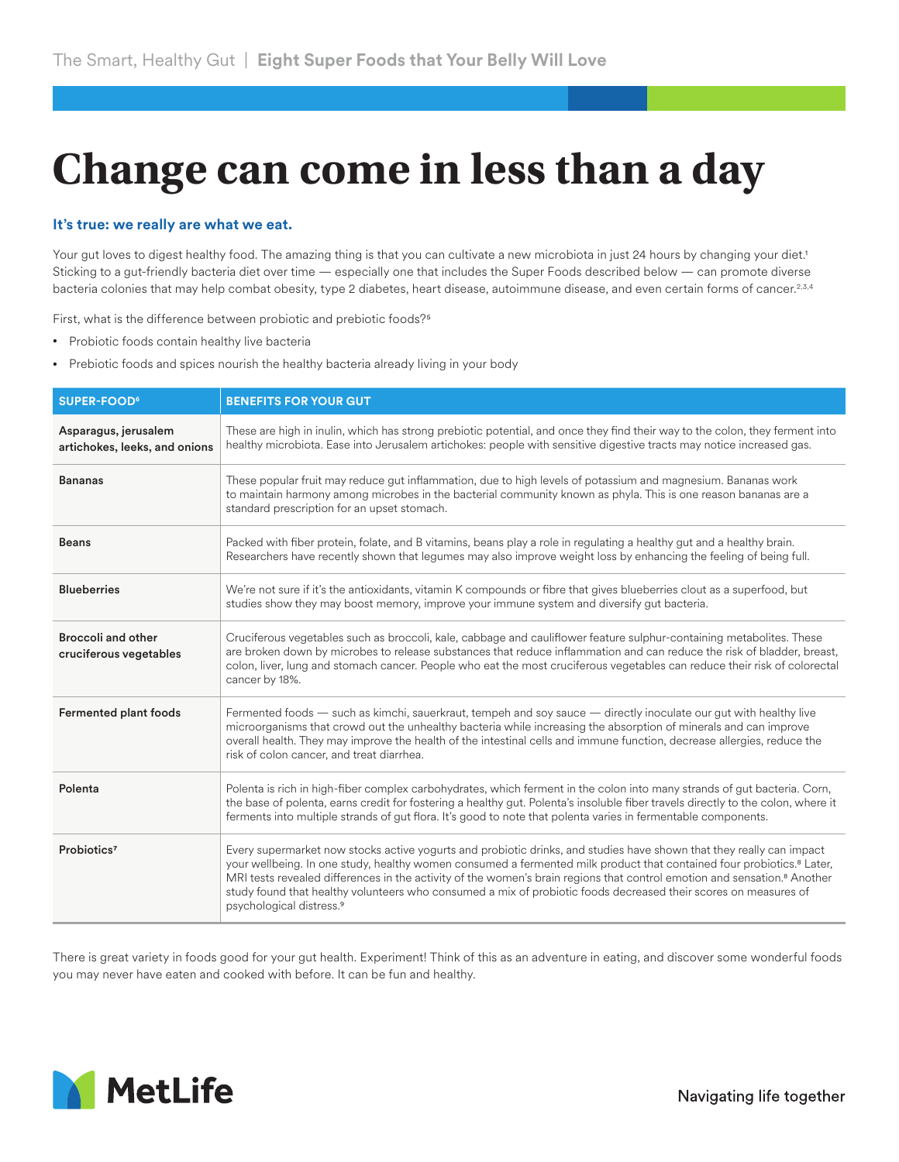## **Change can come in less than a day**

## **It's true: we really are what we eat.**

Your gut loves to digest healthy food. The amazing thing is that you can cultivate a new microbiota in just 24 hours by changing your diet.<sup>1</sup> Sticking to a gut-friendly bacteria diet over time — especially one that includes the Super Foods described below — can promote diverse bacteria colonies that may help combat obesity, type 2 diabetes, heart disease, autoimmune disease, and even certain forms of cancer.<sup>2,3,4</sup>

First, what is the difference between probiotic and prebiotic foods?5

- Probiotic foods contain healthy live bacteria
- Prebiotic foods and spices nourish the healthy bacteria already living in your body

| <b>SUPER-FOOD</b> <sup>6</sup>                        | <b>BENEFITS FOR YOUR GUT</b>                                                                                                                                                                                                                                                                                                                                                                                                                                                                                                                                 |
|-------------------------------------------------------|--------------------------------------------------------------------------------------------------------------------------------------------------------------------------------------------------------------------------------------------------------------------------------------------------------------------------------------------------------------------------------------------------------------------------------------------------------------------------------------------------------------------------------------------------------------|
| Asparagus, jerusalem<br>artichokes, leeks, and onions | These are high in inulin, which has strong prebiotic potential, and once they find their way to the colon, they ferment into<br>healthy microbiota. Ease into Jerusalem artichokes: people with sensitive digestive tracts may notice increased gas.                                                                                                                                                                                                                                                                                                         |
| <b>Bananas</b>                                        | These popular fruit may reduce gut inflammation, due to high levels of potassium and magnesium. Bananas work<br>to maintain harmony among microbes in the bacterial community known as phyla. This is one reason bananas are a<br>standard prescription for an upset stomach.                                                                                                                                                                                                                                                                                |
| <b>Beans</b>                                          | Packed with fiber protein, folate, and B vitamins, beans play a role in regulating a healthy gut and a healthy brain.<br>Researchers have recently shown that legumes may also improve weight loss by enhancing the feeling of being full.                                                                                                                                                                                                                                                                                                                   |
| <b>Blueberries</b>                                    | We're not sure if it's the antioxidants, vitamin K compounds or fibre that gives blueberries clout as a superfood, but<br>studies show they may boost memory, improve your immune system and diversify gut bacteria.                                                                                                                                                                                                                                                                                                                                         |
| <b>Broccoli and other</b><br>cruciferous vegetables   | Cruciferous vegetables such as broccoli, kale, cabbage and cauliflower feature sulphur-containing metabolites. These<br>are broken down by microbes to release substances that reduce inflammation and can reduce the risk of bladder, breast,<br>colon, liver, lung and stomach cancer. People who eat the most cruciferous vegetables can reduce their risk of colorectal<br>cancer by 18%.                                                                                                                                                                |
| <b>Fermented plant foods</b>                          | Fermented foods — such as kimchi, sauerkraut, tempeh and soy sauce — directly inoculate our gut with healthy live<br>microorganisms that crowd out the unhealthy bacteria while increasing the absorption of minerals and can improve<br>overall health. They may improve the health of the intestinal cells and immune function, decrease allergies, reduce the<br>risk of colon cancer, and treat diarrhea.                                                                                                                                                |
| Polenta                                               | Polenta is rich in high-fiber complex carbohydrates, which ferment in the colon into many strands of gut bacteria. Corn,<br>the base of polenta, earns credit for fostering a healthy gut. Polenta's insoluble fiber travels directly to the colon, where it<br>ferments into multiple strands of gut flora. It's good to note that polenta varies in fermentable components.                                                                                                                                                                                |
| Probiotics <sup>7</sup>                               | Every supermarket now stocks active yogurts and probiotic drinks, and studies have shown that they really can impact<br>your wellbeing. In one study, healthy women consumed a fermented milk product that contained four probiotics. <sup>8</sup> Later,<br>MRI tests revealed differences in the activity of the women's brain regions that control emotion and sensation. <sup>8</sup> Another<br>study found that healthy volunteers who consumed a mix of probiotic foods decreased their scores on measures of<br>psychological distress. <sup>9</sup> |

There is great variety in foods good for your gut health. Experiment! Think of this as an adventure in eating, and discover some wonderful foods you may never have eaten and cooked with before. It can be fun and healthy.